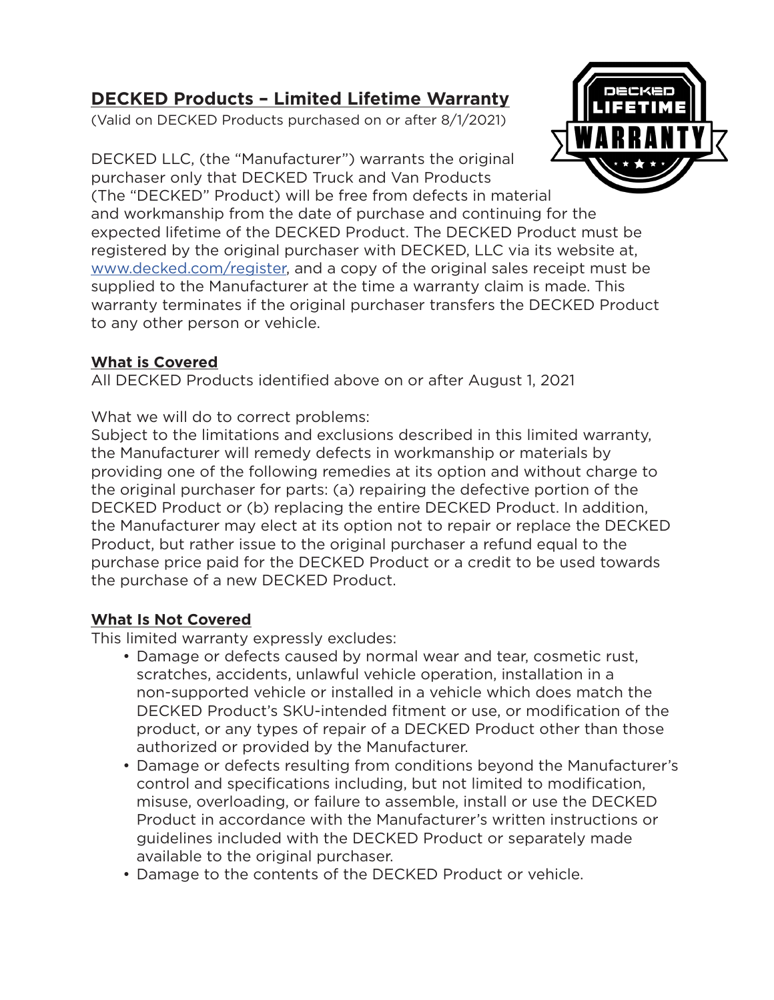# **DECKED Products – Limited Lifetime Warranty**

(Valid on DECKED Products purchased on or after 8/1/2021)

DECKED

DECKED LLC, (the "Manufacturer") warrants the original purchaser only that DECKED Truck and Van Products

(The "DECKED" Product) will be free from defects in material and workmanship from the date of purchase and continuing for the expected lifetime of the DECKED Product. The DECKED Product must be registered by the original purchaser with DECKED, LLC via its website at, [www.decked.com/register](http://www.decked.com/register), and a copy of the original sales receipt must be supplied to the Manufacturer at the time a warranty claim is made. This warranty terminates if the original purchaser transfers the DECKED Product to any other person or vehicle.

### **What is Covered**

All DECKED Products identified above on or after August 1, 2021

What we will do to correct problems:

Subject to the limitations and exclusions described in this limited warranty, the Manufacturer will remedy defects in workmanship or materials by providing one of the following remedies at its option and without charge to the original purchaser for parts: (a) repairing the defective portion of the DECKED Product or (b) replacing the entire DECKED Product. In addition, the Manufacturer may elect at its option not to repair or replace the DECKED Product, but rather issue to the original purchaser a refund equal to the purchase price paid for the DECKED Product or a credit to be used towards the purchase of a new DECKED Product.

## **What Is Not Covered**

This limited warranty expressly excludes:

- Damage or defects caused by normal wear and tear, cosmetic rust, scratches, accidents, unlawful vehicle operation, installation in a non-supported vehicle or installed in a vehicle which does match the DECKED Product's SKU-intended fitment or use, or modification of the product, or any types of repair of a DECKED Product other than those authorized or provided by the Manufacturer.
- Damage or defects resulting from conditions beyond the Manufacturer's control and specifications including, but not limited to modification, misuse, overloading, or failure to assemble, install or use the DECKED Product in accordance with the Manufacturer's written instructions or guidelines included with the DECKED Product or separately made available to the original purchaser.
- Damage to the contents of the DECKED Product or vehicle.